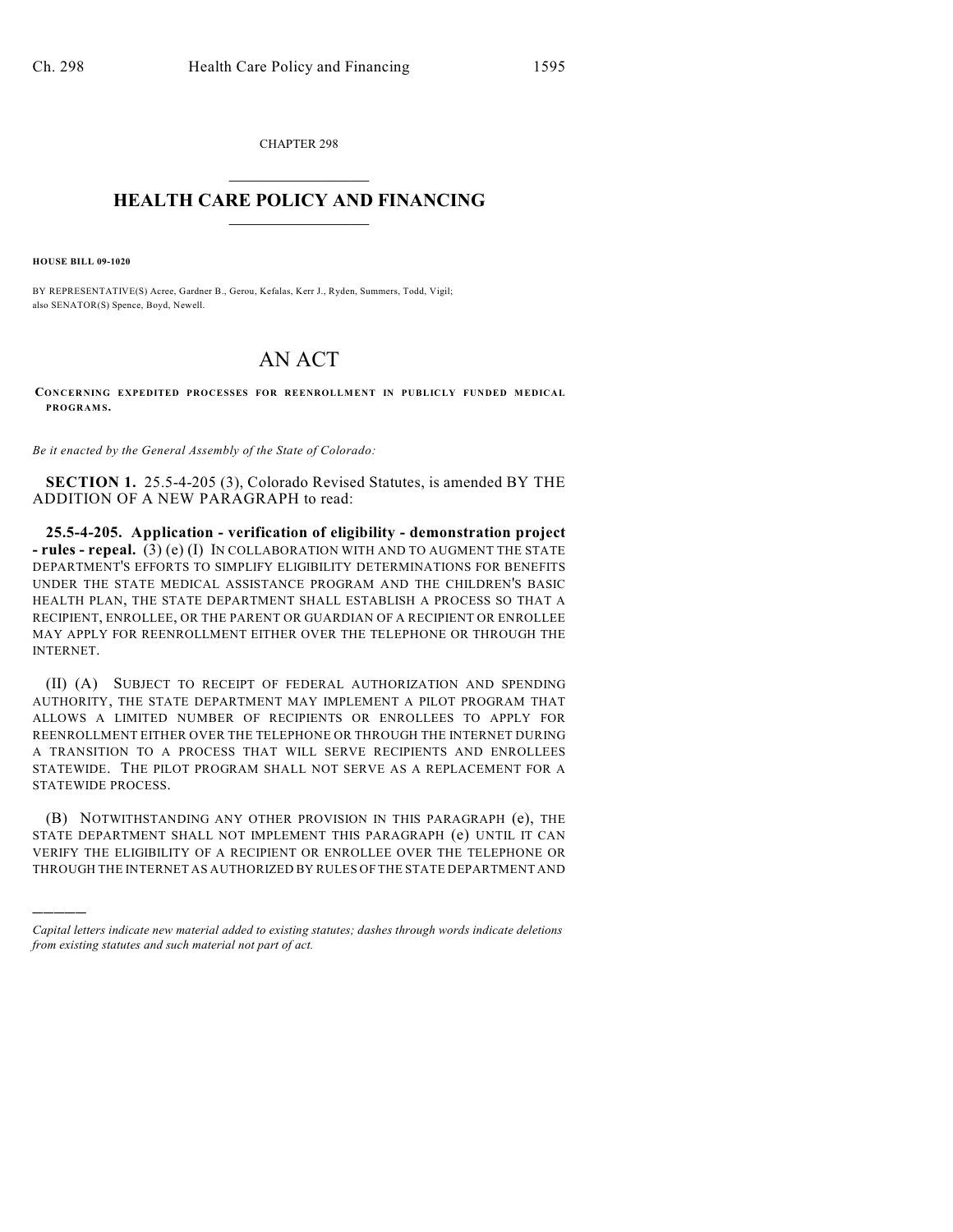CHAPTER 298  $\overline{\phantom{a}}$  . The set of the set of the set of the set of the set of the set of the set of the set of the set of the set of the set of the set of the set of the set of the set of the set of the set of the set of the set o

## **HEALTH CARE POLICY AND FINANCING**  $\_$   $\_$   $\_$   $\_$   $\_$   $\_$   $\_$   $\_$

**HOUSE BILL 09-1020**

)))))

BY REPRESENTATIVE(S) Acree, Gardner B., Gerou, Kefalas, Kerr J., Ryden, Summers, Todd, Vigil; also SENATOR(S) Spence, Boyd, Newell.

## AN ACT

**CONCERNING EXPEDITED PROCESSES FOR REENROLLMENT IN PUBLICLY FUNDED MEDICAL PROGRAM S.**

*Be it enacted by the General Assembly of the State of Colorado:*

**SECTION 1.** 25.5-4-205 (3), Colorado Revised Statutes, is amended BY THE ADDITION OF A NEW PARAGRAPH to read:

**25.5-4-205. Application - verification of eligibility - demonstration project - rules - repeal.** (3) (e) (I) IN COLLABORATION WITH AND TO AUGMENT THE STATE DEPARTMENT'S EFFORTS TO SIMPLIFY ELIGIBILITY DETERMINATIONS FOR BENEFITS UNDER THE STATE MEDICAL ASSISTANCE PROGRAM AND THE CHILDREN'S BASIC HEALTH PLAN, THE STATE DEPARTMENT SHALL ESTABLISH A PROCESS SO THAT A RECIPIENT, ENROLLEE, OR THE PARENT OR GUARDIAN OF A RECIPIENT OR ENROLLEE MAY APPLY FOR REENROLLMENT EITHER OVER THE TELEPHONE OR THROUGH THE INTERNET.

(II) (A) SUBJECT TO RECEIPT OF FEDERAL AUTHORIZATION AND SPENDING AUTHORITY, THE STATE DEPARTMENT MAY IMPLEMENT A PILOT PROGRAM THAT ALLOWS A LIMITED NUMBER OF RECIPIENTS OR ENROLLEES TO APPLY FOR REENROLLMENT EITHER OVER THE TELEPHONE OR THROUGH THE INTERNET DURING A TRANSITION TO A PROCESS THAT WILL SERVE RECIPIENTS AND ENROLLEES STATEWIDE. THE PILOT PROGRAM SHALL NOT SERVE AS A REPLACEMENT FOR A STATEWIDE PROCESS.

(B) NOTWITHSTANDING ANY OTHER PROVISION IN THIS PARAGRAPH (e), THE STATE DEPARTMENT SHALL NOT IMPLEMENT THIS PARAGRAPH (e) UNTIL IT CAN VERIFY THE ELIGIBILITY OF A RECIPIENT OR ENROLLEE OVER THE TELEPHONE OR THROUGH THE INTERNET AS AUTHORIZED BY RULES OF THE STATE DEPARTMENT AND

*Capital letters indicate new material added to existing statutes; dashes through words indicate deletions from existing statutes and such material not part of act.*